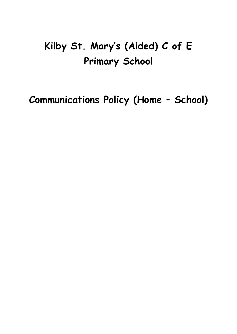# **Kilby St. Mary's (Aided) C of E Primary School**

**Communications Policy (Home – School)**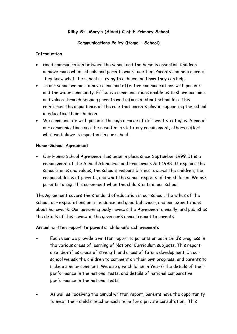# **Kilby St. Mary's (Aided) C of E Primary School**

### **Communications Policy (Home – School)**

## **Introduction**

- Good communication between the school and the home is essential. Children achieve more when schools and parents work together. Parents can help more if they know what the school is trying to achieve, and how they can help.
- In our school we aim to have clear and effective communications with parents and the wider community. Effective communications enable us to share our aims and values through keeping parents well informed about school life. This reinforces the importance of the role that parents play in supporting the school in educating their children.
- We communicate with parents through a range of different strategies. Some of our communications are the result of a statutory requirement, others reflect what we believe is important in our school.

## **Home-School Agreement**

 Our Home-School Agreement has been in place since September 1999. It is a requirement of the School Standards and Framework Act 1998. It explains the school's aims and values, the school's responsibilities towards the children, the responsibilities of parents, and what the school expects of the children. We ask parents to sign this agreement when the child starts in our school.

The Agreement covers the standard of education in our school, the ethos of the school, our expectations on attendance and good behaviour, and our expectations about homework. Our governing body reviews the Agreement annually, and publishes the details of this review in the governor's annual report to parents.

#### **Annual written report to parents: children's achievements**

- Each year we provide a written report to parents on each child's progress in the various areas of learning of National Curriculum subjects. This report also identifies areas of strength and areas of future development. In our school we ask the children to comment on their own progress, and parents to make a similar comment. We also give children in Year 6 the details of their performance in the national tests, and details of national comparative performance in the national tests.
- As well as receiving the annual written report, parents have the opportunity to meet their child's teacher each term for a private consultation. This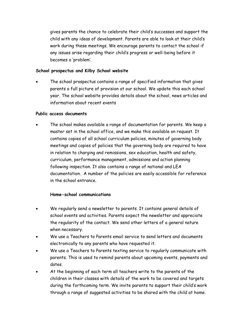gives parents the chance to celebrate their child's successes and support the child with any ideas of development. Parents are able to look at their child's work during these meetings. We encourage parents to contact the school if any issues arise regarding their child's progress or well-being before it becomes a 'problem'.

#### **School prospectus and Kilby School website**

 The school prospectus contains a range of specified information that gives parents a full picture of provision at our school. We update this each school year. The school website provides details about the school, news articles and information about recent events

#### **Public access documents**

 The school makes available a range of documentation for parents. We keep a master set in the school office, and we make this available on request. It contains copies of all school curriculum policies, minutes of governing body meetings and copies of policies that the governing body are required to have in relation to charging and remissions, sex education, health and safety, curriculum, performance management, admissions and action planning following inspection. It also contains a range of national and LEA documentation. A number of the policies are easily accessible for reference in the school entrance.

#### **Home-school communications**

- We regularly send a newsletter to parents. It contains general details of school events and activities. Parents expect the newsletter and appreciate the regularity of the contact. We send other letters of a general nature when necessary.
- We use a Teachers to Parents email service to send letters and documents electronically to any parents who have requested it.
- We use a Teachers to Parents texting service to regularly communicate with parents. This is used to remind parents about upcoming events, payments and dates.
- At the beginning of each term all teachers write to the parents of the children in their classes with details of the work to be covered and targets during the forthcoming term. We invite parents to support their child's work through a range of suggested activities to be shared with the child at home.